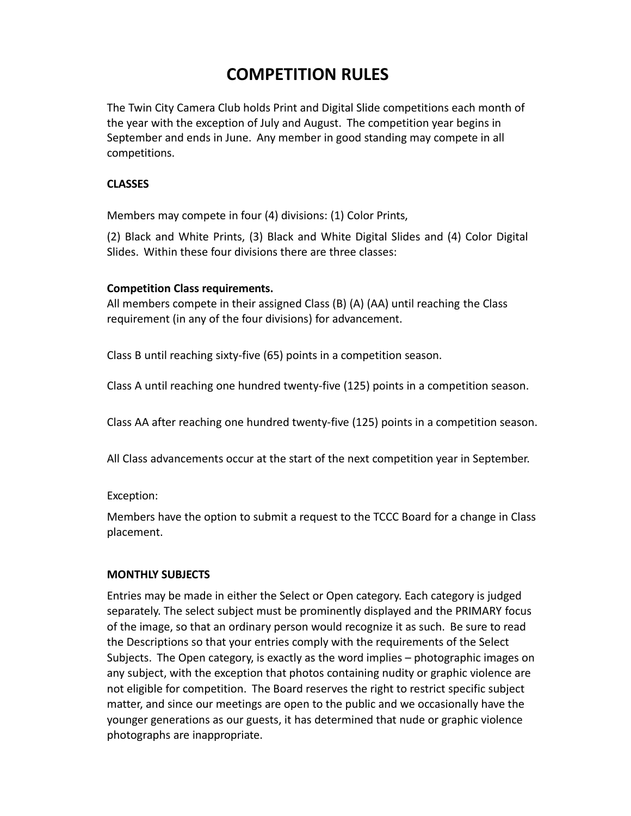# **COMPETITION RULES**

The Twin City Camera Club holds Print and Digital Slide competitions each month of the year with the exception of July and August. The competition year begins in September and ends in June. Any member in good standing may compete in all competitions.

## **CLASSES**

Members may compete in four (4) divisions: (1) Color Prints,

(2) Black and White Prints, (3) Black and White Digital Slides and (4) Color Digital Slides. Within these four divisions there are three classes:

## **Competition Class requirements.**

All members compete in their assigned Class (B) (A) (AA) until reaching the Class requirement (in any of the four divisions) for advancement.

Class B until reaching sixty-five (65) points in a competition season.

Class A until reaching one hundred twenty-five (125) points in a competition season.

Class AA after reaching one hundred twenty-five (125) points in a competition season.

All Class advancements occur at the start of the next competition year in September.

Exception:

Members have the option to submit a request to the TCCC Board for a change in Class placement.

## **MONTHLY SUBJECTS**

Entries may be made in either the Select or Open category. Each category is judged separately. The select subject must be prominently displayed and the PRIMARY focus of the image, so that an ordinary person would recognize it as such. Be sure to read the Descriptions so that your entries comply with the requirements of the Select Subjects. The Open category, is exactly as the word implies – photographic images on any subject, with the exception that photos containing nudity or graphic violence are not eligible for competition. The Board reserves the right to restrict specific subject matter, and since our meetings are open to the public and we occasionally have the younger generations as our guests, it has determined that nude or graphic violence photographs are inappropriate.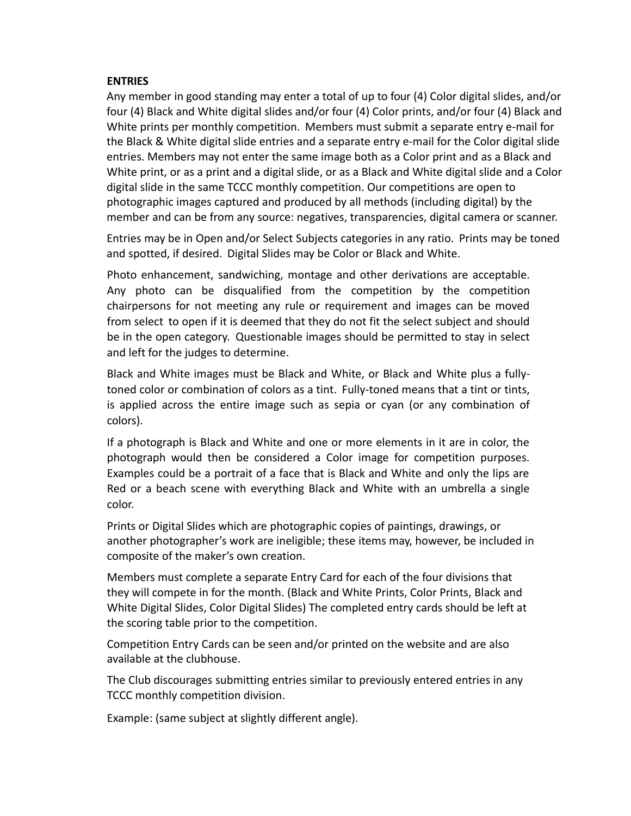#### **ENTRIES**

Any member in good standing may enter a total of up to four (4) Color digital slides, and/or four (4) Black and White digital slides and/or four (4) Color prints, and/or four (4) Black and White prints per monthly competition. Members must submit a separate entry e-mail for the Black & White digital slide entries and a separate entry e-mail for the Color digital slide entries. Members may not enter the same image both as a Color print and as a Black and White print, or as a print and a digital slide, or as a Black and White digital slide and a Color digital slide in the same TCCC monthly competition. Our competitions are open to photographic images captured and produced by all methods (including digital) by the member and can be from any source: negatives, transparencies, digital camera or scanner.

Entries may be in Open and/or Select Subjects categories in any ratio. Prints may be toned and spotted, if desired. Digital Slides may be Color or Black and White.

Photo enhancement, sandwiching, montage and other derivations are acceptable. Any photo can be disqualified from the competition by the competition chairpersons for not meeting any rule or requirement and images can be moved from select to open if it is deemed that they do not fit the select subject and should be in the open category. Questionable images should be permitted to stay in select and left for the judges to determine.

Black and White images must be Black and White, or Black and White plus a fullytoned color or combination of colors as a tint. Fully-toned means that a tint or tints, is applied across the entire image such as sepia or cyan (or any combination of colors).

If a photograph is Black and White and one or more elements in it are in color, the photograph would then be considered a Color image for competition purposes. Examples could be a portrait of a face that is Black and White and only the lips are Red or a beach scene with everything Black and White with an umbrella a single color.

Prints or Digital Slides which are photographic copies of paintings, drawings, or another photographer's work are ineligible; these items may, however, be included in composite of the maker's own creation.

Members must complete a separate Entry Card for each of the four divisions that they will compete in for the month. (Black and White Prints, Color Prints, Black and White Digital Slides, Color Digital Slides) The completed entry cards should be left at the scoring table prior to the competition.

Competition Entry Cards can be seen and/or printed on the website and are also available at the clubhouse.

The Club discourages submitting entries similar to previously entered entries in any TCCC monthly competition division.

Example: (same subject at slightly different angle).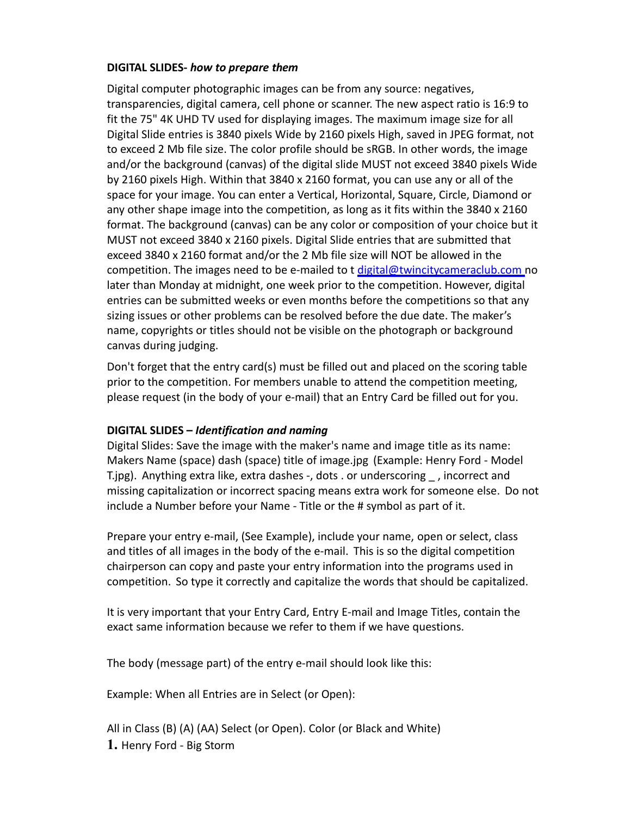#### **DIGITAL SLIDES-** *how to prepare them*

Digital computer photographic images can be from any source: negatives, transparencies, digital camera, cell phone or scanner. The new aspect ratio is 16:9 to fit the 75" 4K UHD TV used for displaying images. The maximum image size for all Digital Slide entries is 3840 pixels Wide by 2160 pixels High, saved in JPEG format, not to exceed 2 Mb file size. The color profile should be sRGB. In other words, the image and/or the background (canvas) of the digital slide MUST not exceed 3840 pixels Wide by 2160 pixels High. Within that 3840 x 2160 format, you can use any or all of the space for your image. You can enter a Vertical, Horizontal, Square, Circle, Diamond or any other shape image into the competition, as long as it fits within the 3840 x 2160 format. The background (canvas) can be any color or composition of your choice but it MUST not exceed 3840 x 2160 pixels. Digital Slide entries that are submitted that exceed 3840 x 2160 format and/or the 2 Mb file size will NOT be allowed in the competition. The images need to be e-mailed to t [digital@twincitycameraclub.com n](mailto:digital@twincitycameraclub.com)o later than Monday at midnight, one week prior to the competition. However, digital entries can be submitted weeks or even months before the competitions so that any sizing issues or other problems can be resolved before the due date. The maker's name, copyrights or titles should not be visible on the photograph or background canvas during judging.

Don't forget that the entry card(s) must be filled out and placed on the scoring table prior to the competition. For members unable to attend the competition meeting, please request (in the body of your e-mail) that an Entry Card be filled out for you.

## **DIGITAL SLIDES –** *Identification and naming*

Digital Slides: Save the image with the maker's name and image title as its name: Makers Name (space) dash (space) title of image.jpg (Example: Henry Ford - Model T.jpg). Anything extra like, extra dashes -, dots . or underscoring , incorrect and missing capitalization or incorrect spacing means extra work for someone else. Do not include a Number before your Name - Title or the # symbol as part of it.

Prepare your entry e-mail, (See Example), include your name, open or select, class and titles of all images in the body of the e-mail. This is so the digital competition chairperson can copy and paste your entry information into the programs used in competition. So type it correctly and capitalize the words that should be capitalized.

It is very important that your Entry Card, Entry E-mail and Image Titles, contain the exact same information because we refer to them if we have questions.

The body (message part) of the entry e-mail should look like this:

Example: When all Entries are in Select (or Open):

All in Class (B) (A) (AA) Select (or Open). Color (or Black and White) **1.** Henry Ford - Big Storm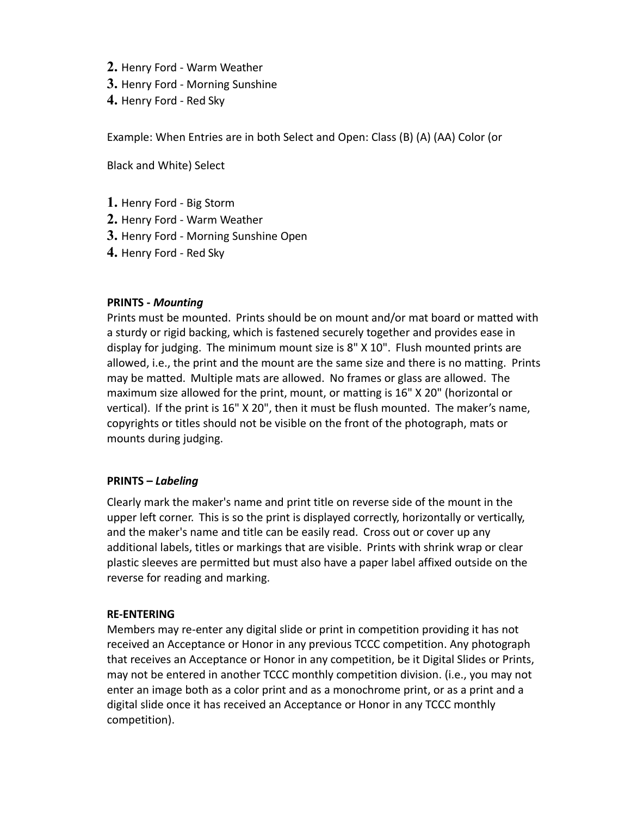- **2.** Henry Ford Warm Weather
- **3.** Henry Ford Morning Sunshine
- **4.** Henry Ford Red Sky

Example: When Entries are in both Select and Open: Class (B) (A) (AA) Color (or

Black and White) Select

- **1.** Henry Ford Big Storm
- **2.** Henry Ford Warm Weather
- **3.** Henry Ford Morning Sunshine Open
- **4.** Henry Ford Red Sky

## **PRINTS -** *Mounting*

Prints must be mounted. Prints should be on mount and/or mat board or matted with a sturdy or rigid backing, which is fastened securely together and provides ease in display for judging. The minimum mount size is 8" X 10". Flush mounted prints are allowed, i.e., the print and the mount are the same size and there is no matting. Prints may be matted. Multiple mats are allowed. No frames or glass are allowed. The maximum size allowed for the print, mount, or matting is 16" X 20" (horizontal or vertical). If the print is 16" X 20", then it must be flush mounted. The maker's name, copyrights or titles should not be visible on the front of the photograph, mats or mounts during judging.

## **PRINTS –** *Labeling*

Clearly mark the maker's name and print title on reverse side of the mount in the upper left corner. This is so the print is displayed correctly, horizontally or vertically, and the maker's name and title can be easily read. Cross out or cover up any additional labels, titles or markings that are visible. Prints with shrink wrap or clear plastic sleeves are permitted but must also have a paper label affixed outside on the reverse for reading and marking.

## **RE-ENTERING**

Members may re-enter any digital slide or print in competition providing it has not received an Acceptance or Honor in any previous TCCC competition. Any photograph that receives an Acceptance or Honor in any competition, be it Digital Slides or Prints, may not be entered in another TCCC monthly competition division. (i.e., you may not enter an image both as a color print and as a monochrome print, or as a print and a digital slide once it has received an Acceptance or Honor in any TCCC monthly competition).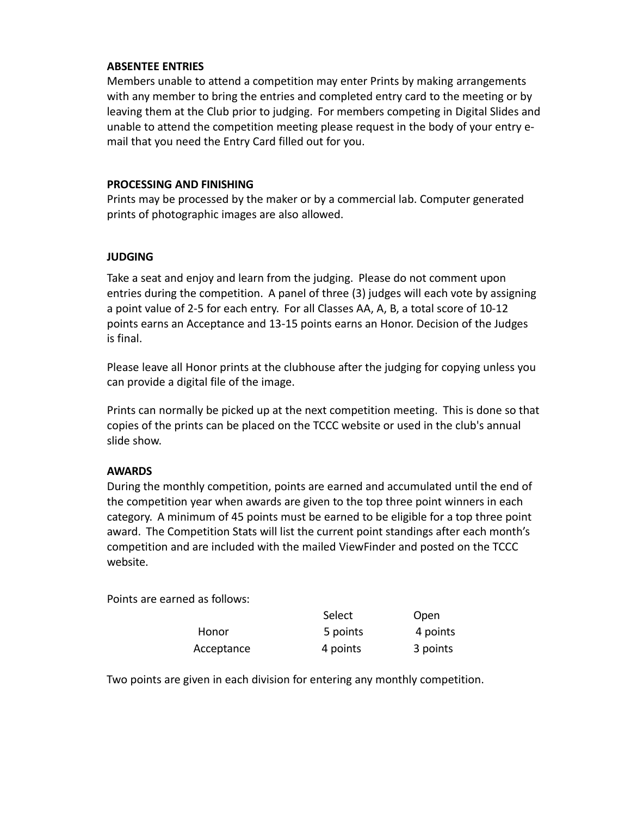## **ABSENTEE ENTRIES**

Members unable to attend a competition may enter Prints by making arrangements with any member to bring the entries and completed entry card to the meeting or by leaving them at the Club prior to judging. For members competing in Digital Slides and unable to attend the competition meeting please request in the body of your entry email that you need the Entry Card filled out for you.

#### **PROCESSING AND FINISHING**

Prints may be processed by the maker or by a commercial lab. Computer generated prints of photographic images are also allowed.

## **JUDGING**

Take a seat and enjoy and learn from the judging. Please do not comment upon entries during the competition. A panel of three (3) judges will each vote by assigning a point value of 2-5 for each entry. For all Classes AA, A, B, a total score of 10-12 points earns an Acceptance and 13-15 points earns an Honor. Decision of the Judges is final.

Please leave all Honor prints at the clubhouse after the judging for copying unless you can provide a digital file of the image.

Prints can normally be picked up at the next competition meeting. This is done so that copies of the prints can be placed on the TCCC website or used in the club's annual slide show.

## **AWARDS**

During the monthly competition, points are earned and accumulated until the end of the competition year when awards are given to the top three point winners in each category. A minimum of 45 points must be earned to be eligible for a top three point award. The Competition Stats will list the current point standings after each month's competition and are included with the mailed ViewFinder and posted on the TCCC website.

Points are earned as follows:

|            | Select   | Open     |
|------------|----------|----------|
| Honor      | 5 points | 4 points |
| Acceptance | 4 points | 3 points |

Two points are given in each division for entering any monthly competition.